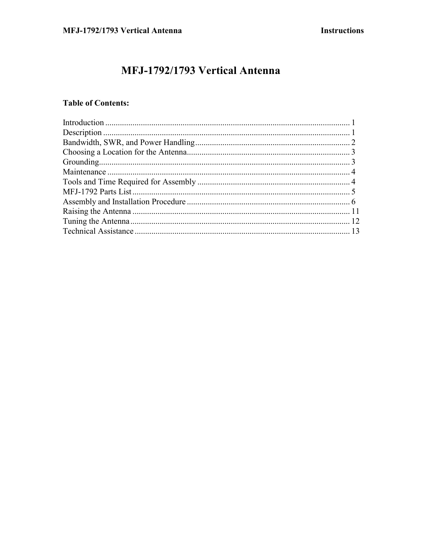# MFJ-1792/1793 Vertical Antenna

## **Table of Contents:**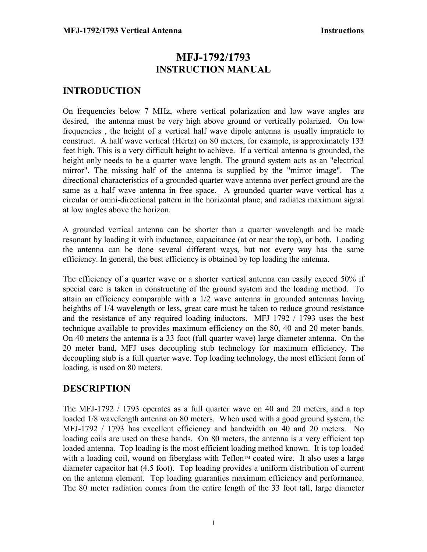## **MFJ-1792/1793 INSTRUCTION MANUAL**

## **INTRODUCTION**

On frequencies below 7 MHz, where vertical polarization and low wave angles are desired, the antenna must be very high above ground or vertically polarized. On low frequencies , the height of a vertical half wave dipole antenna is usually impraticle to construct. A half wave vertical (Hertz) on 80 meters, for example, is approximately 133 feet high. This is a very difficult height to achieve. If a vertical antenna is grounded, the height only needs to be a quarter wave length. The ground system acts as an "electrical mirror". The missing half of the antenna is supplied by the "mirror image". The directional characteristics of a grounded quarter wave antenna over perfect ground are the same as a half wave antenna in free space. A grounded quarter wave vertical has a circular or omni-directional pattern in the horizontal plane, and radiates maximum signal at low angles above the horizon.

A grounded vertical antenna can be shorter than a quarter wavelength and be made resonant by loading it with inductance, capacitance (at or near the top), or both. Loading the antenna can be done several different ways, but not every way has the same efficiency. In general, the best efficiency is obtained by top loading the antenna.

The efficiency of a quarter wave or a shorter vertical antenna can easily exceed 50% if special care is taken in constructing of the ground system and the loading method. To attain an efficiency comparable with a 1/2 wave antenna in grounded antennas having heighths of 1/4 wavelength or less, great care must be taken to reduce ground resistance and the resistance of any required loading inductors. MFJ 1792 / 1793 uses the best technique available to provides maximum efficiency on the 80, 40 and 20 meter bands. On 40 meters the antenna is a 33 foot (full quarter wave) large diameter antenna. On the 20 meter band, MFJ uses decoupling stub technology for maximum efficiency. The decoupling stub is a full quarter wave. Top loading technology, the most efficient form of loading, is used on 80 meters.

## **DESCRIPTION**

The MFJ-1792 / 1793 operates as a full quarter wave on 40 and 20 meters, and a top loaded 1/8 wavelength antenna on 80 meters. When used with a good ground system, the MFJ-1792 / 1793 has excellent efficiency and bandwidth on 40 and 20 meters. No loading coils are used on these bands. On 80 meters, the antenna is a very efficient top loaded antenna. Top loading is the most efficient loading method known. It is top loaded with a loading coil, wound on fiberglass with Teflon<sup> $m$ </sup> coated wire. It also uses a large diameter capacitor hat (4.5 foot). Top loading provides a uniform distribution of current on the antenna element. Top loading guaranties maximum efficiency and performance. The 80 meter radiation comes from the entire length of the 33 foot tall, large diameter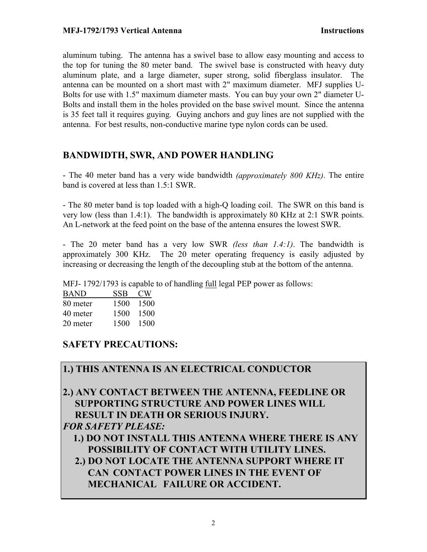aluminum tubing. The antenna has a swivel base to allow easy mounting and access to the top for tuning the 80 meter band. The swivel base is constructed with heavy duty aluminum plate, and a large diameter, super strong, solid fiberglass insulator. The antenna can be mounted on a short mast with 2" maximum diameter. MFJ supplies U-Bolts for use with 1.5" maximum diameter masts. You can buy your own 2" diameter U-Bolts and install them in the holes provided on the base swivel mount. Since the antenna is 35 feet tall it requires guying. Guying anchors and guy lines are not supplied with the antenna. For best results, non-conductive marine type nylon cords can be used.

## **BANDWIDTH, SWR, AND POWER HANDLING**

- The 40 meter band has a very wide bandwidth *(approximately 800 KHz)*. The entire band is covered at less than 1.5:1 SWR.

- The 80 meter band is top loaded with a high-Q loading coil. The SWR on this band is very low (less than 1.4:1). The bandwidth is approximately 80 KHz at 2:1 SWR points. An L-network at the feed point on the base of the antenna ensures the lowest SWR.

- The 20 meter band has a very low SWR *(less than 1.4:1)*. The bandwidth is approximately 300 KHz. The 20 meter operating frequency is easily adjusted by increasing or decreasing the length of the decoupling stub at the bottom of the antenna.

MFJ- 1792/1793 is capable to of handling full legal PEP power as follows:

| <b>BAND</b> | SSB  | CW.  |
|-------------|------|------|
| 80 meter    | 1500 | 1500 |
| 40 meter    | 1500 | 1500 |
| 20 meter    | 1500 | 1500 |

## **SAFETY PRECAUTIONS:**

## **1.) THIS ANTENNA IS AN ELECTRICAL CONDUCTOR**

**2.) ANY CONTACT BETWEEN THE ANTENNA, FEEDLINE OR SUPPORTING STRUCTURE AND POWER LINES WILL RESULT IN DEATH OR SERIOUS INJURY.**  *FOR SAFETY PLEASE:*

 **1.) DO NOT INSTALL THIS ANTENNA WHERE THERE IS ANY POSSIBILITY OF CONTACT WITH UTILITY LINES.** 

 **2.) DO NOT LOCATE THE ANTENNA SUPPORT WHERE IT CAN CONTACT POWER LINES IN THE EVENT OF MECHANICAL FAILURE OR ACCIDENT.**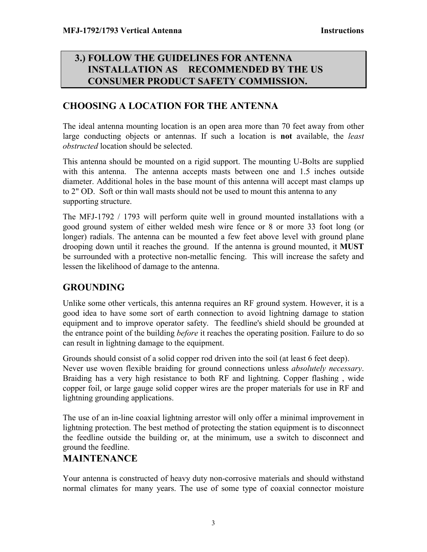## **3.) FOLLOW THE GUIDELINES FOR ANTENNA INSTALLATION AS RECOMMENDED BY THE US CONSUMER PRODUCT SAFETY COMMISSION.**

## **CHOOSING A LOCATION FOR THE ANTENNA**

The ideal antenna mounting location is an open area more than 70 feet away from other large conducting objects or antennas. If such a location is **not** available, the *least obstructed* location should be selected.

This antenna should be mounted on a rigid support. The mounting U-Bolts are supplied with this antenna. The antenna accepts masts between one and 1.5 inches outside diameter. Additional holes in the base mount of this antenna will accept mast clamps up to 2" OD. Soft or thin wall masts should not be used to mount this antenna to any supporting structure.

The MFJ-1792 / 1793 will perform quite well in ground mounted installations with a good ground system of either welded mesh wire fence or 8 or more 33 foot long (or longer) radials. The antenna can be mounted a few feet above level with ground plane drooping down until it reaches the ground. If the antenna is ground mounted, it **MUST** be surrounded with a protective non-metallic fencing. This will increase the safety and lessen the likelihood of damage to the antenna.

## **GROUNDING**

Unlike some other verticals, this antenna requires an RF ground system. However, it is a good idea to have some sort of earth connection to avoid lightning damage to station equipment and to improve operator safety. The feedline's shield should be grounded at the entrance point of the building *before* it reaches the operating position. Failure to do so can result in lightning damage to the equipment.

Grounds should consist of a solid copper rod driven into the soil (at least 6 feet deep). Never use woven flexible braiding for ground connections unless *absolutely necessary*. Braiding has a very high resistance to both RF and lightning. Copper flashing , wide copper foil, or large gauge solid copper wires are the proper materials for use in RF and lightning grounding applications.

The use of an in-line coaxial lightning arrestor will only offer a minimal improvement in lightning protection. The best method of protecting the station equipment is to disconnect the feedline outside the building or, at the minimum, use a switch to disconnect and ground the feedline.

## **MAINTENANCE**

Your antenna is constructed of heavy duty non-corrosive materials and should withstand normal climates for many years. The use of some type of coaxial connector moisture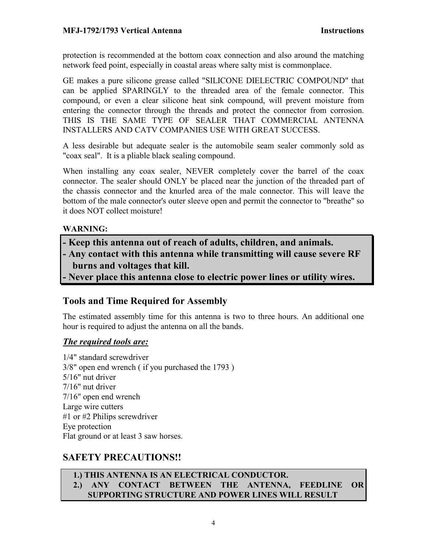protection is recommended at the bottom coax connection and also around the matching network feed point, especially in coastal areas where salty mist is commonplace.

GE makes a pure silicone grease called "SILICONE DIELECTRIC COMPOUND" that can be applied SPARINGLY to the threaded area of the female connector. This compound, or even a clear silicone heat sink compound, will prevent moisture from entering the connector through the threads and protect the connector from corrosion. THIS IS THE SAME TYPE OF SEALER THAT COMMERCIAL ANTENNA INSTALLERS AND CATV COMPANIES USE WITH GREAT SUCCESS.

A less desirable but adequate sealer is the automobile seam sealer commonly sold as "coax seal". It is a pliable black sealing compound.

When installing any coax sealer, NEVER completely cover the barrel of the coax connector. The sealer should ONLY be placed near the junction of the threaded part of the chassis connector and the knurled area of the male connector. This will leave the bottom of the male connector's outer sleeve open and permit the connector to "breathe" so it does NOT collect moisture!

## **WARNING:**

- **Keep this antenna out of reach of adults, children, and animals.**
- **Any contact with this antenna while transmitting will cause severe RF burns and voltages that kill.**
- **Never place this antenna close to electric power lines or utility wires.**

## **Tools and Time Required for Assembly**

The estimated assembly time for this antenna is two to three hours. An additional one hour is required to adjust the antenna on all the bands.

## *The required tools are:*

1/4" standard screwdriver 3/8" open end wrench ( if you purchased the 1793 ) 5/16" nut driver 7/16" nut driver 7/16" open end wrench Large wire cutters #1 or #2 Philips screwdriver Eye protection Flat ground or at least 3 saw horses.

## **SAFETY PRECAUTIONS!!**

### **1.) THIS ANTENNA IS AN ELECTRICAL CONDUCTOR. 2.) ANY CONTACT BETWEEN THE ANTENNA, FEEDLINE OR SUPPORTING STRUCTURE AND POWER LINES WILL RESULT**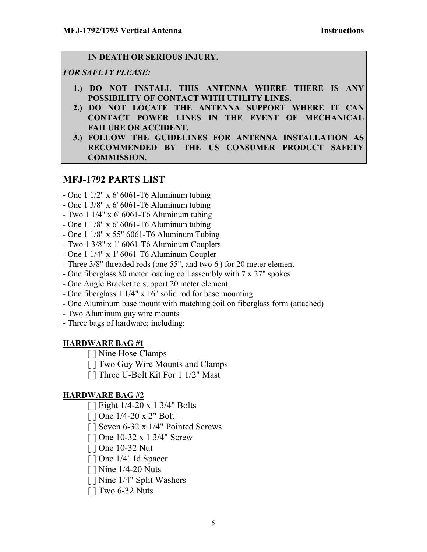### **IN DEATH OR SERIOUS INJURY.**

## *FOR SAFETY PLEASE:*

- **1.) DO NOT INSTALL THIS ANTENNA WHERE THERE IS ANY POSSIBILITY OF CONTACT WITH UTILITY LINES.**
- **2.) DO NOT LOCATE THE ANTENNA SUPPORT WHERE IT CAN CONTACT POWER LINES IN THE EVENT OF MECHANICAL FAILURE OR ACCIDENT.**
- **3.) FOLLOW THE GUIDELINES FOR ANTENNA INSTALLATION AS RECOMMENDED BY THE US CONSUMER PRODUCT SAFETY COMMISSION.**

## **MFJ-1792 PARTS LIST**

- One 1 1/2" x 6' 6061-T6 Aluminum tubing
- One 1 3/8" x 6' 6061-T6 Aluminum tubing
- Two 1 1/4" x 6' 6061-T6 Aluminum tubing
- One 1 1/8" x 6' 6061-T6 Aluminum tubing
- One 1 1/8" x 55" 6061-T6 Aluminum Tubing
- Two 1 3/8" x 1' 6061-T6 Aluminum Couplers
- One 1 1/4" x 1' 6061-T6 Aluminum Coupler
- Three 3/8" threaded rods (one 55", and two 6') for 20 meter element
- One fiberglass 80 meter loading coil assembly with 7 x 27" spokes
- One Angle Bracket to support 20 meter element
- One fiberglass 1 1/4" x 16" solid rod for base mounting
- One Aluminum base mount with matching coil on fiberglass form (attached)
- Two Aluminum guy wire mounts
- Three bags of hardware; including:

### **HARDWARE BAG #1**

- [ ] Nine Hose Clamps
- [ ] Two Guy Wire Mounts and Clamps
- [ ] Three U-Bolt Kit For 1 1/2" Mast

## **HARDWARE BAG #2**

- [ ] Eight 1/4-20 x 1 3/4" Bolts
- [ ] One 1/4-20 x 2" Bolt
- [ ] Seven 6-32 x 1/4" Pointed Screws
- [ ] One 10-32 x 1 3/4" Screw
- [ ] One 10-32 Nut
- [ ] One 1/4" Id Spacer
- [ ] Nine 1/4-20 Nuts
- [ ] Nine 1/4" Split Washers
- [ ] Two 6-32 Nuts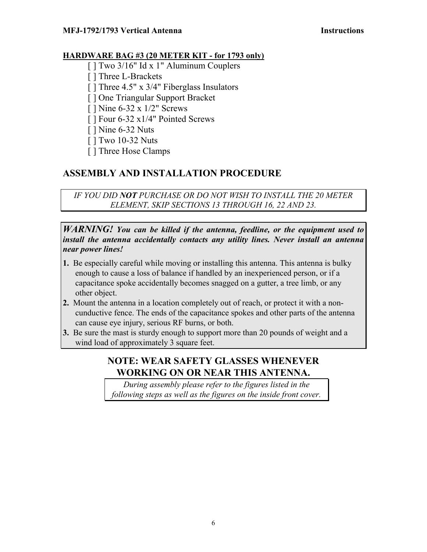### **HARDWARE BAG #3 (20 METER KIT - for 1793 only)**

- [ ] Two 3/16" Id x 1" Aluminum Couplers
- [ ] Three L-Brackets
- [ ] Three 4.5" x 3/4" Fiberglass Insulators
- [ ] One Triangular Support Bracket
- [ ] Nine 6-32 x 1/2" Screws
- [ ] Four 6-32 x1/4" Pointed Screws
- [ ] Nine 6-32 Nuts
- [ ] Two 10-32 Nuts
- [ ] Three Hose Clamps

# **ASSEMBLY AND INSTALLATION PROCEDURE**

*IF YOU DID NOT PURCHASE OR DO NOT WISH TO INSTALL THE 20 METER ELEMENT, SKIP SECTIONS 13 THROUGH 16, 22 AND 23.*

### *WARNING! You can be killed if the antenna, feedline, or the equipment used to install the antenna accidentally contacts any utility lines. Never install an antenna near power lines!*

- **1.** Be especially careful while moving or installing this antenna. This antenna is bulky enough to cause a loss of balance if handled by an inexperienced person, or if a capacitance spoke accidentally becomes snagged on a gutter, a tree limb, or any other object.
- **2.** Mount the antenna in a location completely out of reach, or protect it with a non cunductive fence. The ends of the capacitance spokes and other parts of the antenna can cause eye injury, serious RF burns, or both.
- **3.** Be sure the mast is sturdy enough to support more than 20 pounds of weight and a wind load of approximately 3 square feet.

## **NOTE: WEAR SAFETY GLASSES WHENEVER WORKING ON OR NEAR THIS ANTENNA.**

*During assembly please refer to the figures listed in the following steps as well as the figures on the inside front cover.*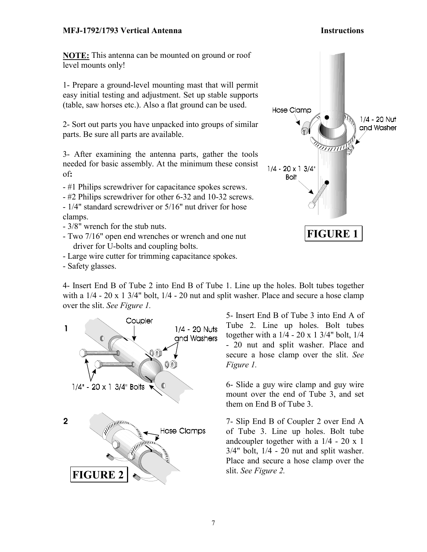**NOTE:** This antenna can be mounted on ground or roof level mounts only!

1- Prepare a ground-level mounting mast that will permit easy initial testing and adjustment. Set up stable supports (table, saw horses etc.). Also a flat ground can be used.

2- Sort out parts you have unpacked into groups of similar parts. Be sure all parts are available.

3- After examining the antenna parts, gather the tools needed for basic assembly. At the minimum these consist of**:**

- #1 Philips screwdriver for capacitance spokes screws.
- #2 Philips screwdriver for other 6-32 and 10-32 screws.
- 1/4" standard screwdriver or 5/16" nut driver for hose clamps.
- 3/8" wrench for the stub nuts.
- Two 7/16" open end wrenches or wrench and one nut driver for U-bolts and coupling bolts.
- Large wire cutter for trimming capacitance spokes.
- Safety glasses.

4- Insert End B of Tube 2 into End B of Tube 1. Line up the holes. Bolt tubes together with a  $1/4$  - 20 x 1 3/4" bolt,  $1/4$  - 20 nut and split washer. Place and secure a hose clamp over the slit. *See Figure 1.*



5- Insert End B of Tube 3 into End A of Tube 2. Line up holes. Bolt tubes together with a  $1/4 - 20 \times 13/4$ " bolt,  $1/4$ - 20 nut and split washer. Place and secure a hose clamp over the slit. *See Figure 1.* 

6- Slide a guy wire clamp and guy wire mount over the end of Tube 3, and set them on End B of Tube 3.

7- Slip End B of Coupler 2 over End A of Tube 3. Line up holes. Bolt tube andcoupler together with a 1/4 - 20 x 1  $3/4$ " bolt,  $1/4$  - 20 nut and split washer. Place and secure a hose clamp over the slit. *See Figure 2.* 

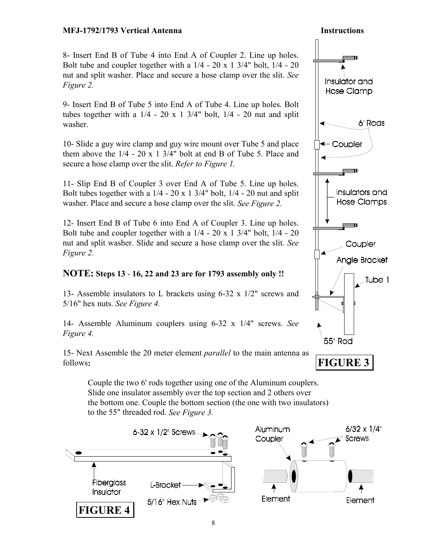8- Insert End B of Tube 4 into End A of Coupler 2. Line up holes. Bolt tube and coupler together with a  $1/4 - 20 \times 13/4$ " bolt,  $1/4 - 20$ nut and split washer. Place and secure a hose clamp over the slit. *See Figure 2.* 

9- Insert End B of Tube 5 into End A of Tube 4. Line up holes. Bolt tubes together with a  $1/4 - 20 \times 1$  3/4" bolt,  $1/4 - 20$  nut and split washer.

10- Slide a guy wire clamp and guy wire mount over Tube 5 and place them above the  $1/4 - 20 \times 1$  3/4" bolt at end B of Tube 5. Place and secure a hose clamp over the slit. *Refer to Figure 1.*

11- Slip End B of Coupler 3 over End A of Tube 5. Line up holes. Bolt tubes together with a  $1/4 - 20 \times 13/4$ " bolt,  $1/4 - 20$  nut and split washer. Place and secure a hose clamp over the slit. *See Figure 2.*

12- Insert End B of Tube 6 into End A of Coupler 3. Line up holes. Bolt tube and coupler together with a  $1/4 - 20 \times 13/4$ " bolt,  $1/4 - 20$ nut and split washer. Slide and secure a hose clamp over the slit. *See Figure 2.* 

## **NOTE: Steps 13** - **16, 22 and 23 are for 1793 assembly only !!**

13- Assemble insulators to L brackets using 6-32 x 1/2" screws and 5/16" hex nuts. *See Figure 4.*

14- Assemble Aluminum couplers using 6-32 x 1/4" screws. *See Figure 4.* 

15- Next Assemble the 20 meter element *parallel* to the main antenna as follows**:** 

Couple the two 6' rods together using one of the Aluminum couplers. Slide one insulator assembly over the top section and 2 others over the bottom one. Couple the bottom section (the one with two insulators) to the 55" threaded rod. *See Figure 3.*



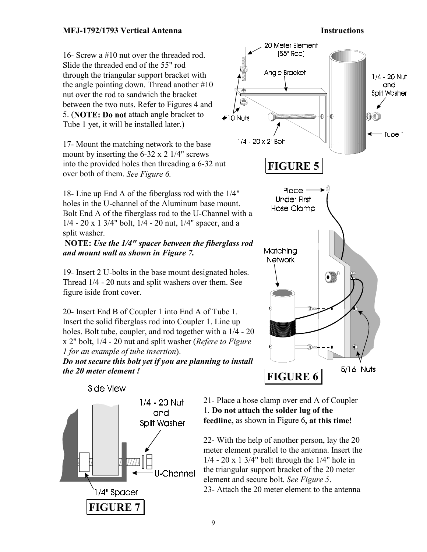### 16- Screw a #10 nut over the threaded rod. Slide the threaded end of the 55" rod through the triangular support bracket with the angle pointing down. Thread another #10 nut over the rod to sandwich the bracket between the two nuts. Refer to Figures 4 and 5. (**NOTE: Do not** attach angle bracket to Tube 1 yet, it will be installed later.)

17- Mount the matching network to the base mount by inserting the 6-32 x 2 1/4" screws into the provided holes then threading a 6-32 nut over both of them. *See Figure 6.*

18- Line up End A of the fiberglass rod with the 1/4" holes in the U-channel of the Aluminum base mount. Bolt End A of the fiberglass rod to the U-Channel with a 1/4 - 20 x 1 3/4" bolt, 1/4 - 20 nut, 1/4" spacer, and a split washer.

### **NOTE:** *Use the 1/4" spacer between the fiberglass rod and mount wall as shown in Figure 7.*

19- Insert 2 U-bolts in the base mount designated holes. Thread 1/4 - 20 nuts and split washers over them. See figure iside front cover.

20- Insert End B of Coupler 1 into End A of Tube 1. Insert the solid fiberglass rod into Coupler 1. Line up holes. Bolt tube, coupler, and rod together with a 1/4 - 20 x 2" bolt, 1/4 - 20 nut and split washer (*Refere to Figure 1 for an example of tube insertion*).

*Do not secure this bolt yet if you are planning to install the 20 meter element !*





21- Place a hose clamp over end A of Coupler 1. **Do not attach the solder lug of the feedline,** as shown in Figure 6**, at this time!** 

22- With the help of another person, lay the 20 meter element parallel to the antenna. Insert the 1/4 - 20 x 1 3/4" bolt through the 1/4" hole in the triangular support bracket of the 20 meter element and secure bolt. *See Figure 5*. 23- Attach the 20 meter element to the antenna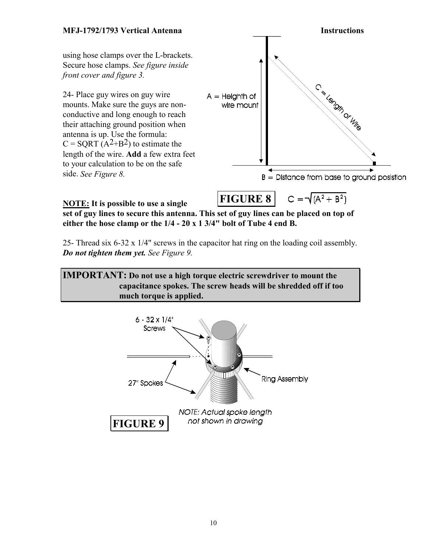### **MFJ-1792/1793 Vertical Antenna Instructions** using hose clamps over the L-brackets. Secure hose clamps. *See figure inside front cover and figure 3.* C & G Olin Or Wie 24- Place guy wires on guy wire  $A =$  Heighth of mounts. Make sure the guys are nonwire mount conductive and long enough to reach their attaching ground position when antenna is up. Use the formula:  $C = \text{SORT} (A^2 + B^2)$  to estimate the length of the wire. **Add** a few extra feet to your calculation to be on the safe side. *See Figure 8.*  $B =$  Distance from base to ground posistion  $C = \sqrt{(A^2 + B^2)}$ **FIGURE 8**

**NOTE: It is possible to use a single set of guy lines to secure this antenna. This set of guy lines can be placed on top of either the hose clamp or the 1/4 - 20 x 1 3/4" bolt of Tube 4 end B.**

25- Thread six 6-32 x 1/4" screws in the capacitor hat ring on the loading coil assembly. *Do not tighten them yet. See Figure 9.*

**IMPORTANT: Do not use a high torque electric screwdriver to mount the capacitance spokes. The screw heads will be shredded off if too much torque is applied.** 

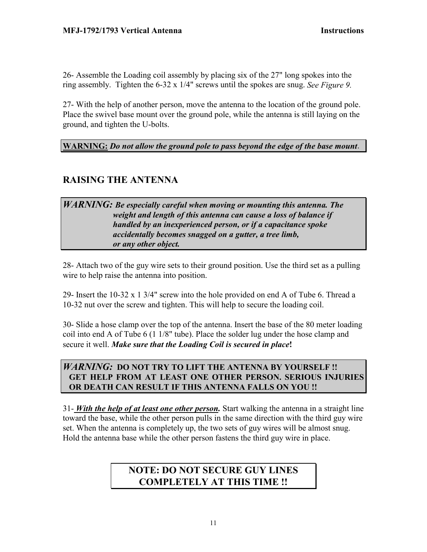26- Assemble the Loading coil assembly by placing six of the 27" long spokes into the ring assembly. Tighten the 6-32 x 1/4" screws until the spokes are snug. *See Figure 9.*

27- With the help of another person, move the antenna to the location of the ground pole. Place the swivel base mount over the ground pole, while the antenna is still laying on the ground, and tighten the U-bolts.

**WARNING:** *Do not allow the ground pole to pass beyond the edge of the base mount*.

## **RAISING THE ANTENNA**

## *WARNING: Be especially careful when moving or mounting this antenna. The weight and length of this antenna can cause a loss of balance if handled by an inexperienced person, or if a capacitance spoke accidentally becomes snagged on a gutter, a tree limb, or any other object.*

28- Attach two of the guy wire sets to their ground position. Use the third set as a pulling wire to help raise the antenna into position.

29- Insert the 10-32 x 1 3/4" screw into the hole provided on end A of Tube 6. Thread a 10-32 nut over the screw and tighten. This will help to secure the loading coil.

30- Slide a hose clamp over the top of the antenna. Insert the base of the 80 meter loading coil into end A of Tube 6 (1 1/8" tube). Place the solder lug under the hose clamp and secure it well. *Make sure that the Loading Coil is secured in place***!** 

## *WARNING:* **DO NOT TRY TO LIFT THE ANTENNA BY YOURSELF !! GET HELP FROM AT LEAST ONE OTHER PERSON. SERIOUS INJURIES OR DEATH CAN RESULT IF THIS ANTENNA FALLS ON YOU !!**

31- *With the help of at least one other person.* Start walking the antenna in a straight line toward the base, while the other person pulls in the same direction with the third guy wire set. When the antenna is completely up, the two sets of guy wires will be almost snug. Hold the antenna base while the other person fastens the third guy wire in place.

## **NOTE: DO NOT SECURE GUY LINES COMPLETELY AT THIS TIME !!**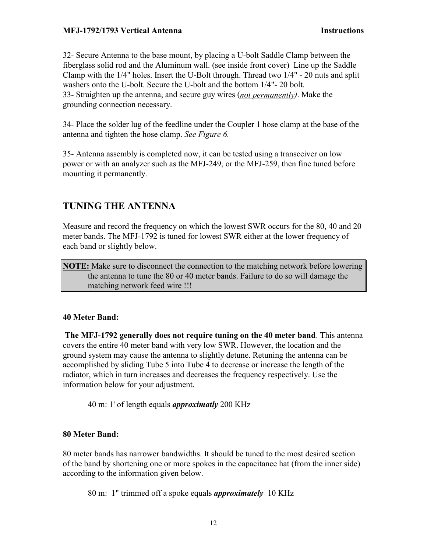32- Secure Antenna to the base mount, by placing a U-bolt Saddle Clamp between the fiberglass solid rod and the Aluminum wall. (see inside front cover) Line up the Saddle Clamp with the 1/4" holes. Insert the U-Bolt through. Thread two 1/4" - 20 nuts and split washers onto the U-bolt. Secure the U-bolt and the bottom 1/4"- 20 bolt. 33- Straighten up the antenna, and secure guy wires (*not permanently)*. Make the grounding connection necessary.

34- Place the solder lug of the feedline under the Coupler 1 hose clamp at the base of the antenna and tighten the hose clamp. *See Figure 6.*

35- Antenna assembly is completed now, it can be tested using a transceiver on low power or with an analyzer such as the MFJ-249, or the MFJ-259, then fine tuned before mounting it permanently.

## **TUNING THE ANTENNA**

Measure and record the frequency on which the lowest SWR occurs for the 80, 40 and 20 meter bands. The MFJ-1792 is tuned for lowest SWR either at the lower frequency of each band or slightly below.

**NOTE:** Make sure to disconnect the connection to the matching network before lowering the antenna to tune the 80 or 40 meter bands. Failure to do so will damage the matching network feed wire !!!

#### **40 Meter Band:**

 **The MFJ-1792 generally does not require tuning on the 40 meter band**. This antenna covers the entire 40 meter band with very low SWR. However, the location and the ground system may cause the antenna to slightly detune. Retuning the antenna can be accomplished by sliding Tube 5 into Tube 4 to decrease or increase the length of the radiator, which in turn increases and decreases the frequency respectively. Use the information below for your adjustment.

40 m: 1' of length equals *approximatly* 200 KHz

### **80 Meter Band:**

80 meter bands has narrower bandwidths. It should be tuned to the most desired section of the band by shortening one or more spokes in the capacitance hat (from the inner side) according to the information given below.

80 m: 1" trimmed off a spoke equals *approximately* 10 KHz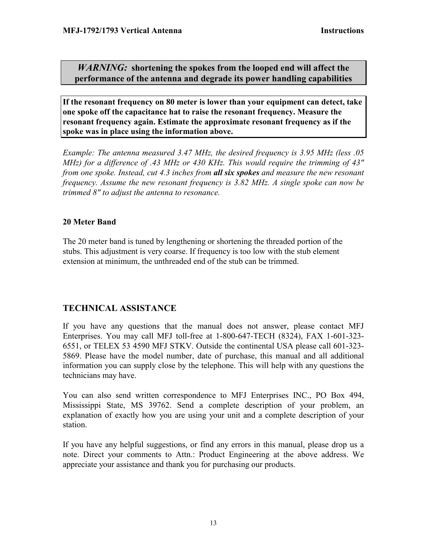*WARNING:* **shortening the spokes from the looped end will affect the performance of the antenna and degrade its power handling capabilities** 

**If the resonant frequency on 80 meter is lower than your equipment can detect, take one spoke off the capacitance hat to raise the resonant frequency. Measure the resonant frequency again. Estimate the approximate resonant frequency as if the spoke was in place using the information above.** 

*Example: The antenna measured 3.47 MHz, the desired frequency is 3.95 MHz (less .05 MHz) for a difference of .43 MHz or 430 KHz. This would require the trimming of 43" from one spoke. Instead, cut 4.3 inches from all six spokes and measure the new resonant frequency. Assume the new resonant frequency is 3.82 MHz. A single spoke can now be trimmed 8" to adjust the antenna to resonance.* 

### **20 Meter Band**

The 20 meter band is tuned by lengthening or shortening the threaded portion of the stubs. This adjustment is very coarse. If frequency is too low with the stub element extension at minimum, the unthreaded end of the stub can be trimmed.

## **TECHNICAL ASSISTANCE**

If you have any questions that the manual does not answer, please contact MFJ Enterprises. You may call MFJ toll-free at 1-800-647-TECH (8324), FAX 1-601-323- 6551, or TELEX 53 4590 MFJ STKV. Outside the continental USA please call 601-323- 5869. Please have the model number, date of purchase, this manual and all additional information you can supply close by the telephone. This will help with any questions the technicians may have.

You can also send written correspondence to MFJ Enterprises INC., PO Box 494, Mississippi State, MS 39762. Send a complete description of your problem, an explanation of exactly how you are using your unit and a complete description of your station.

If you have any helpful suggestions, or find any errors in this manual, please drop us a note. Direct your comments to Attn.: Product Engineering at the above address. We appreciate your assistance and thank you for purchasing our products.